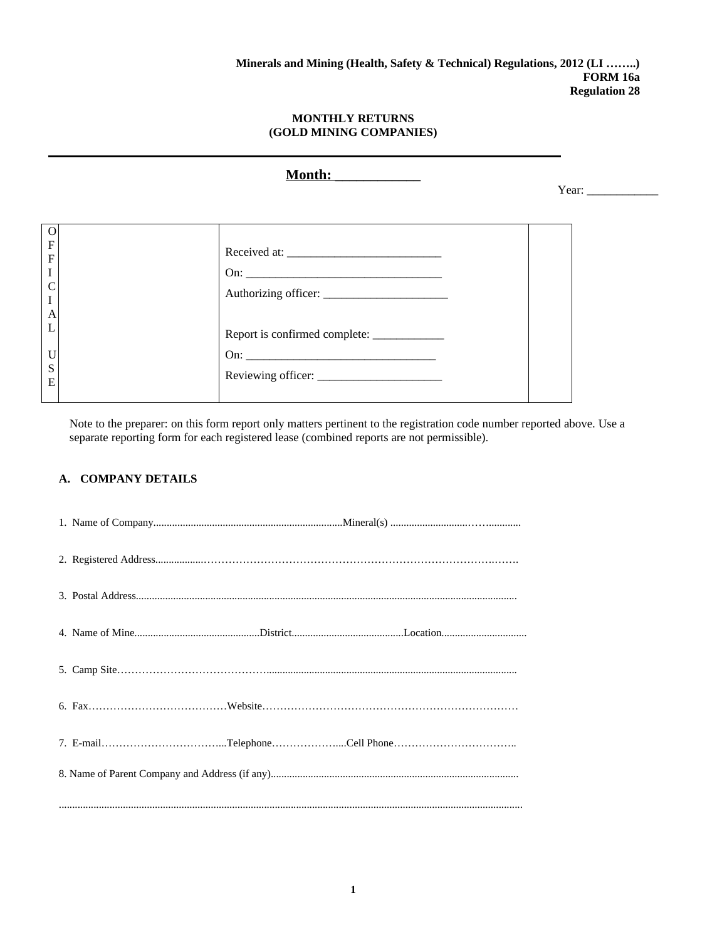**Month: \_\_\_\_\_\_\_\_\_\_\_\_**

Year: \_\_\_\_\_\_\_\_\_\_\_\_

Note to the preparer: on this form report only matters pertinent to the registration code number reported above. Use a separate reporting form for each registered lease (combined reports are not permissible).

# **A. COMPANY DETAILS**

| 7. E-mailTelephoneCell Phone |
|------------------------------|
|                              |
|                              |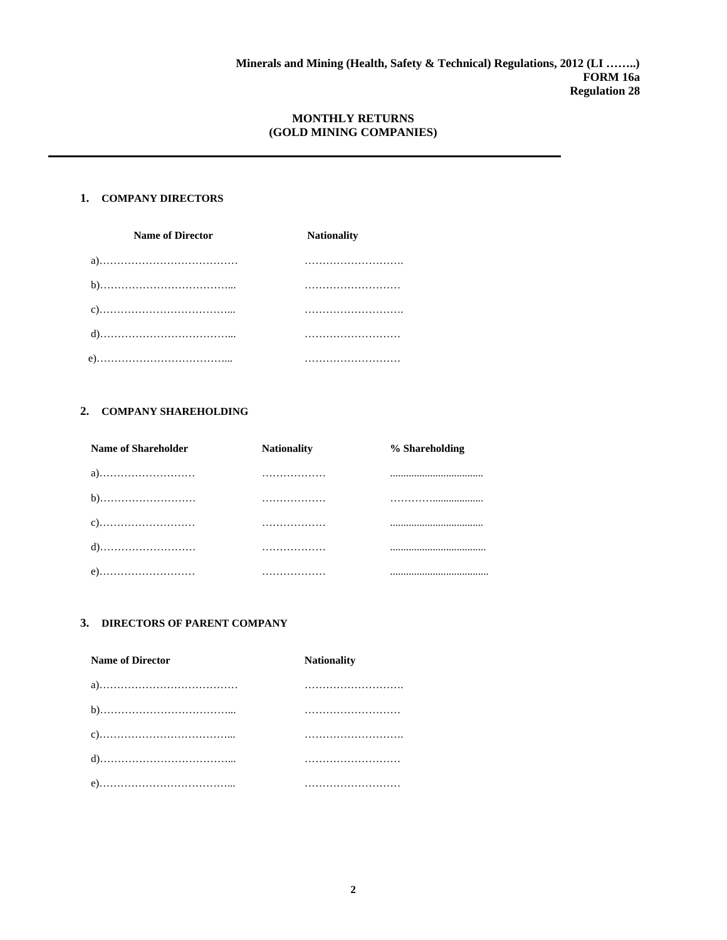## **1. COMPANY DIRECTORS**

| <b>Name of Director</b> | <b>Nationality</b> |  |
|-------------------------|--------------------|--|
|                         |                    |  |
|                         |                    |  |
|                         |                    |  |
|                         |                    |  |
|                         |                    |  |

## **2. COMPANY SHAREHOLDING**

| <b>Name of Shareholder</b> | <b>Nationality</b> | % Shareholding |
|----------------------------|--------------------|----------------|
| a)                         |                    |                |
|                            | .                  |                |
|                            | .                  |                |
|                            | .                  |                |
| e)                         |                    |                |

#### **3. DIRECTORS OF PARENT COMPANY**

| <b>Name of Director</b> | <b>Nationality</b> |
|-------------------------|--------------------|
|                         |                    |
|                         |                    |
|                         |                    |
|                         |                    |
|                         |                    |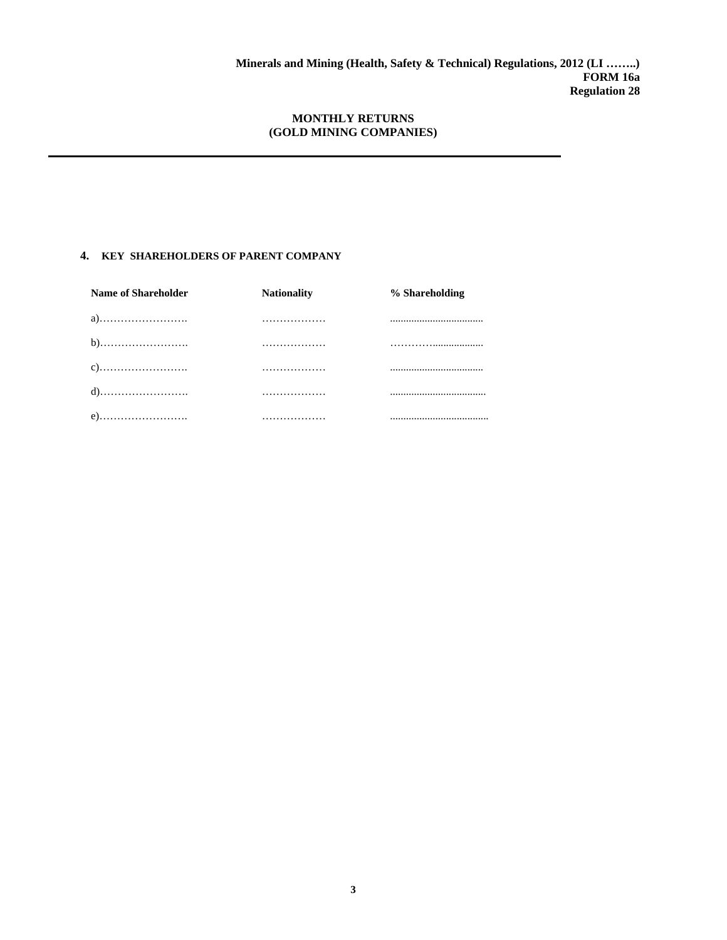# **4. KEY SHAREHOLDERS OF PARENT COMPANY**

| <b>Name of Shareholder</b> | <b>Nationality</b> | % Shareholding |
|----------------------------|--------------------|----------------|
| a)                         | .                  |                |
|                            | .                  |                |
|                            | .                  |                |
|                            | .                  |                |
| e)                         | .                  |                |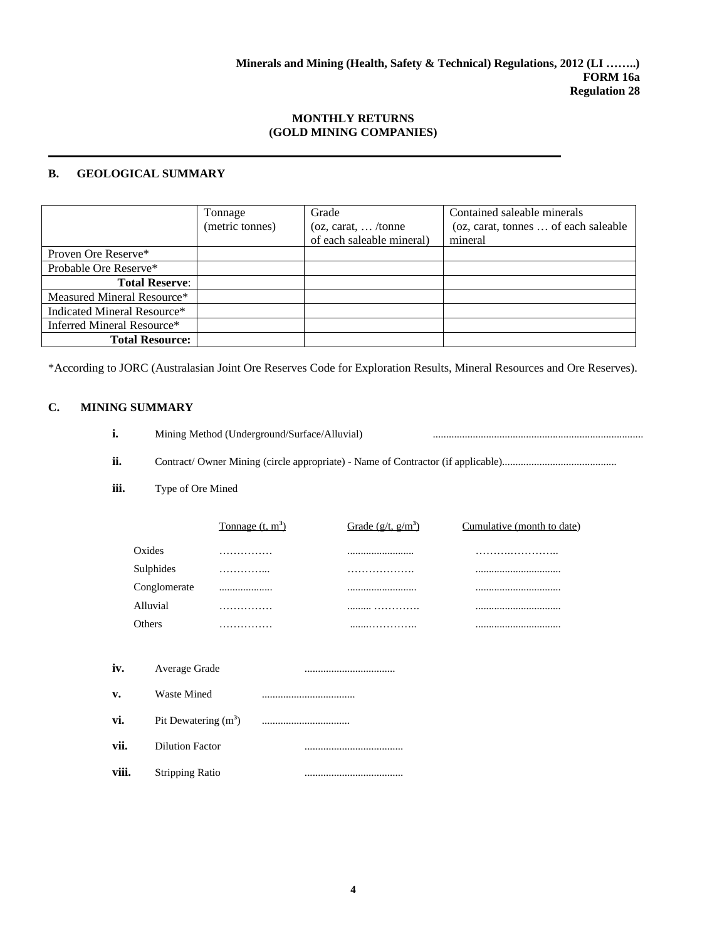#### **B. GEOLOGICAL SUMMARY**

|                             | Tonnage         | Grade                       | Contained saleable minerals          |
|-----------------------------|-----------------|-----------------------------|--------------------------------------|
|                             | (metric tonnes) | (oz, carat, $\ldots$ /tonne | (oz, carat, tonnes  of each saleable |
|                             |                 | of each saleable mineral)   | mineral                              |
| Proven Ore Reserve*         |                 |                             |                                      |
| Probable Ore Reserve*       |                 |                             |                                      |
| <b>Total Reserve:</b>       |                 |                             |                                      |
| Measured Mineral Resource*  |                 |                             |                                      |
| Indicated Mineral Resource* |                 |                             |                                      |
| Inferred Mineral Resource*  |                 |                             |                                      |
| <b>Total Resource:</b>      |                 |                             |                                      |

\*According to JORC (Australasian Joint Ore Reserves Code for Exploration Results, Mineral Resources and Ore Reserves).

# **C. MINING SUMMARY**

| Mining Method (Underground/Surface/Alluvial) |  |  |
|----------------------------------------------|--|--|
|                                              |  |  |

**ii.** Contract/ Owner Mining (circle appropriate) - Name of Contractor (if applicable)...........................................

#### **iii.** Type of Ore Mined

|       |                        | Tonnage $(t, m3)$ | Grade $(g/t, g/m3)$ | Cumulative (month to date) |
|-------|------------------------|-------------------|---------------------|----------------------------|
|       | Oxides                 | .                 |                     |                            |
|       | Sulphides              | .                 | .                   |                            |
|       | Conglomerate           |                   |                     |                            |
|       | Alluvial               | .                 |                     |                            |
|       | Others                 | .                 |                     |                            |
|       |                        |                   |                     |                            |
| iv.   | Average Grade          |                   |                     |                            |
| v.    | <b>Waste Mined</b>     |                   |                     |                            |
| vi.   | Pit Dewatering $(m^3)$ |                   |                     |                            |
| vii.  | <b>Dilution Factor</b> |                   |                     |                            |
| viii. | <b>Stripping Ratio</b> |                   |                     |                            |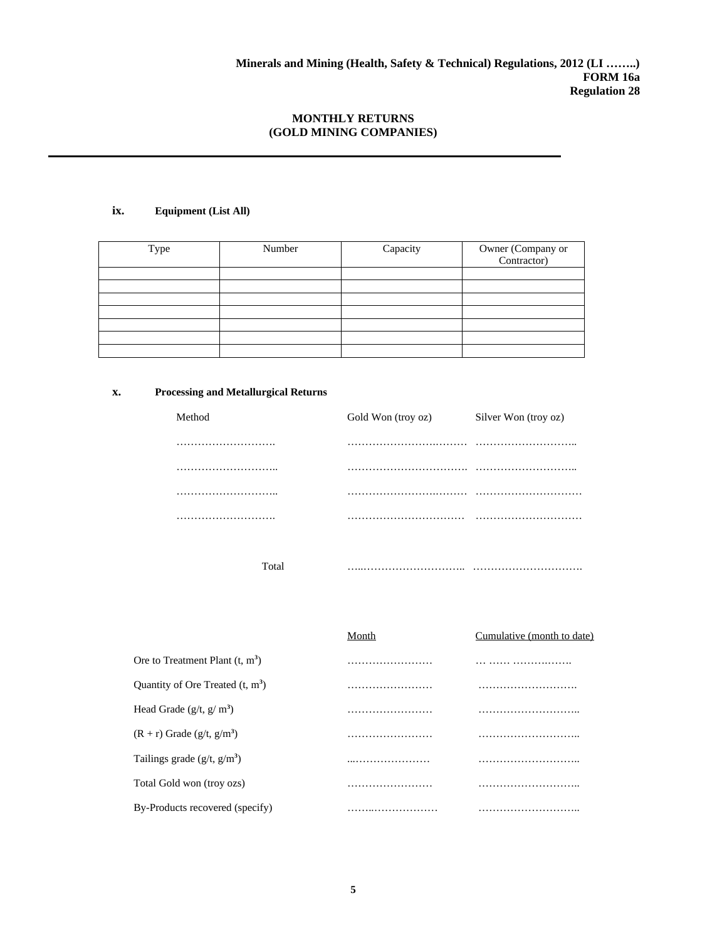## **ix. Equipment (List All)**

| Type | Number | Capacity | Owner (Company or<br>Contractor) |
|------|--------|----------|----------------------------------|
|      |        |          |                                  |
|      |        |          |                                  |
|      |        |          |                                  |
|      |        |          |                                  |
|      |        |          |                                  |
|      |        |          |                                  |
|      |        |          |                                  |

## **x. Processing and Metallurgical Returns**

| Method | Gold Won (troy oz) | Silver Won (troy oz) |
|--------|--------------------|----------------------|
|        |                    |                      |
|        |                    |                      |
|        |                    |                      |
|        |                    |                      |
|        |                    |                      |

Total …..……………………….. ………………………….

|                                          | Month | Cumulative (month to date) |
|------------------------------------------|-------|----------------------------|
| Ore to Treatment Plant $(t, m3)$         |       |                            |
| Quantity of Ore Treated $(t, m3)$        |       |                            |
| Head Grade $(g/t, g/m3)$                 |       |                            |
| $(R + r)$ Grade (g/t, g/m <sup>3</sup> ) |       |                            |
| Tailings grade $(g/t, g/m3)$             |       |                            |
| Total Gold won (troy ozs)                |       |                            |
| By-Products recovered (specify)          |       |                            |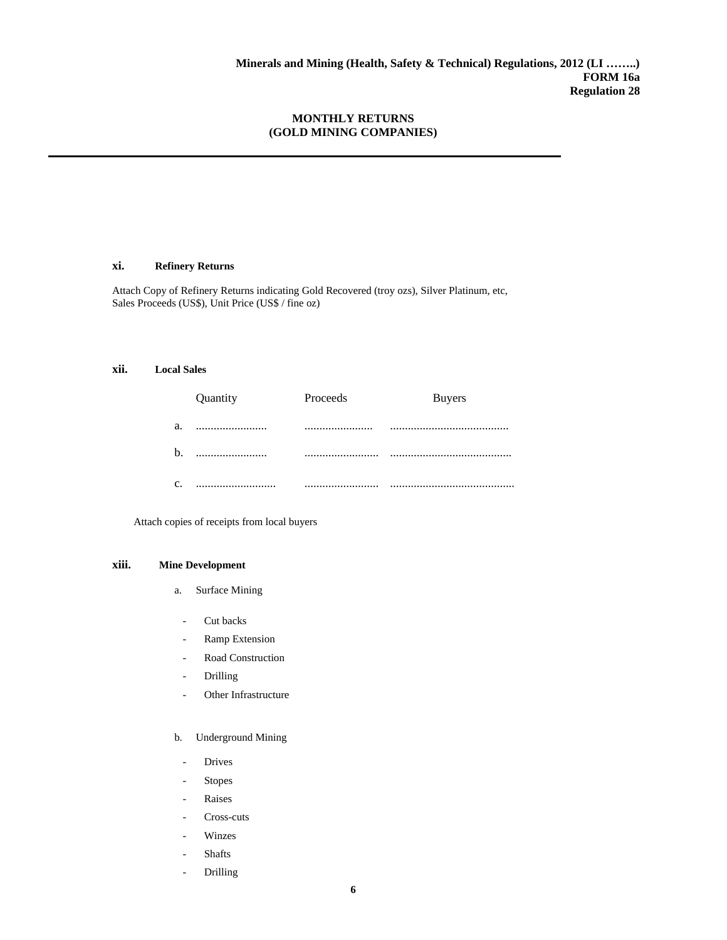#### **xi. Refinery Returns**

Attach Copy of Refinery Returns indicating Gold Recovered (troy ozs), Silver Platinum, etc, Sales Proceeds (US\$), Unit Price (US\$ / fine oz)

#### **xii. Local Sales**

|    | Quantity | Proceeds | <b>Buyers</b> |
|----|----------|----------|---------------|
| a. |          |          |               |
| b. | .        |          |               |
| C. |          |          |               |

Attach copies of receipts from local buyers

#### **xiii. Mine Development**

- a. Surface Mining
	- Cut backs
	- Ramp Extension
	- Road Construction
	- **Drilling**
	- Other Infrastructure
- b. Underground Mining
	- Drives
	- Stopes
	- **Raises**
	- Cross-cuts
	- **Winzes**
	- Shafts
	- Drilling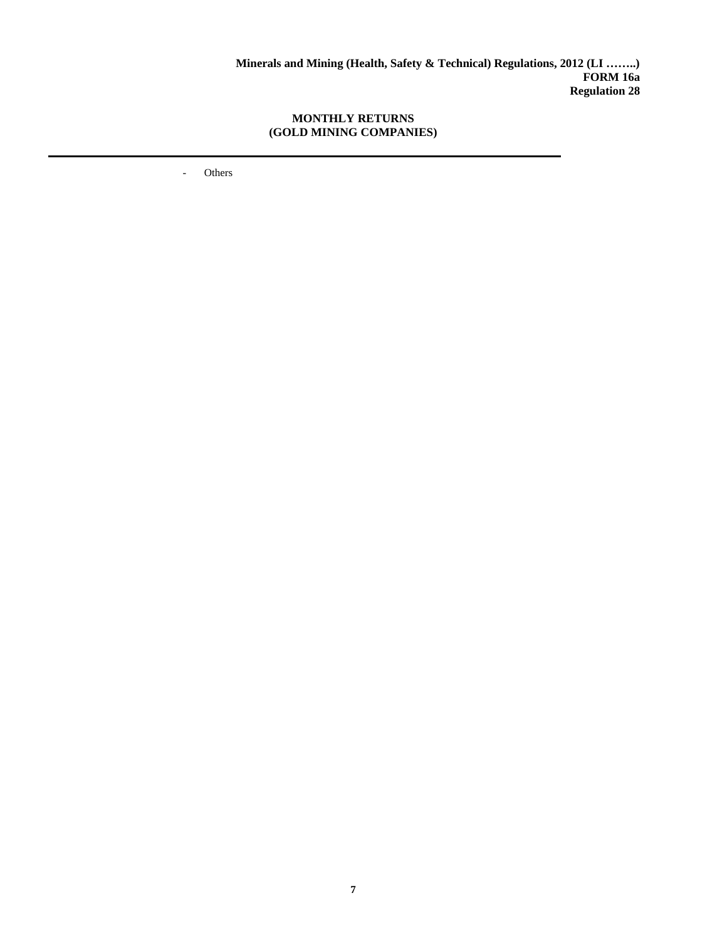- Others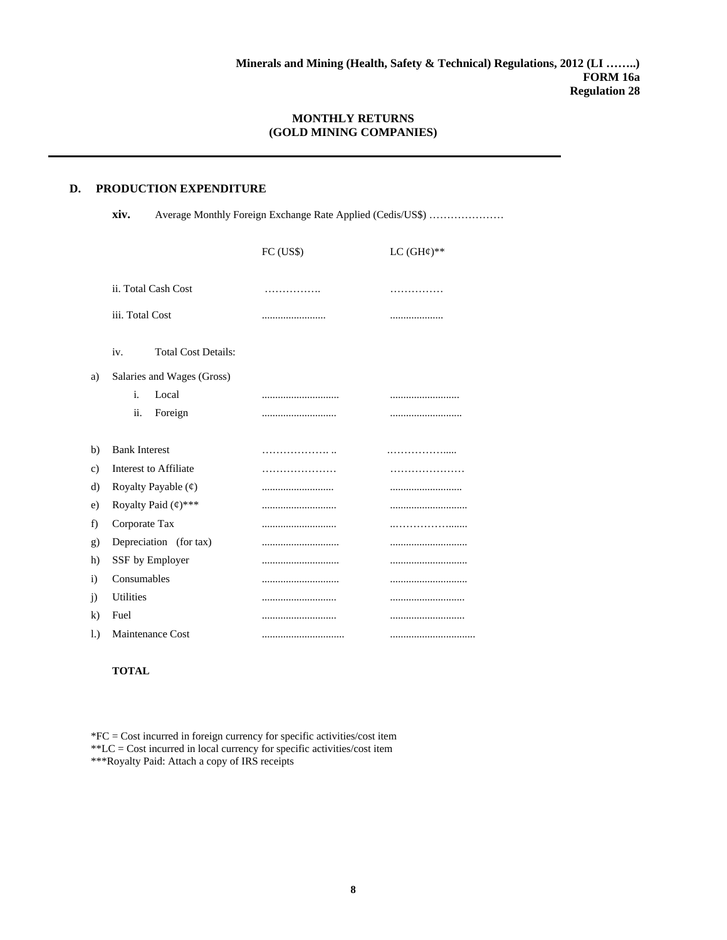#### **D. PRODUCTION EXPENDITURE**

**xiv.** Average Monthly Foreign Exchange Rate Applied (Cedis/US\$) …………………

|     |                                                      | FC (US\$) | LC $(GH¢)**$ |
|-----|------------------------------------------------------|-----------|--------------|
|     | ii. Total Cash Cost                                  |           | .            |
|     | iii. Total Cost                                      |           | .            |
|     | <b>Total Cost Details:</b><br>iv.                    |           |              |
| a)  | Salaries and Wages (Gross)                           |           |              |
|     | Local<br>i.                                          |           |              |
|     | ii.<br>Foreign                                       |           |              |
|     |                                                      |           |              |
| b)  | <b>Bank Interest</b>                                 |           |              |
| c)  | <b>Interest to Affiliate</b>                         |           |              |
| d)  | Royalty Payable $(\text{\ensuremath{\mathfrak{e}}})$ |           |              |
| e)  | Royalty Paid $(4)$ ***                               |           |              |
| f)  | Corporate Tax                                        |           |              |
| g)  | Depreciation (for tax)                               |           |              |
| h)  | SSF by Employer                                      |           |              |
| i)  | Consumables                                          |           |              |
| j)  | <b>Utilities</b>                                     |           |              |
| k)  | Fuel                                                 |           |              |
| l.) | <b>Maintenance Cost</b>                              |           |              |

#### **TOTAL**

\*FC = Cost incurred in foreign currency for specific activities/cost item \*\*LC = Cost incurred in local currency for specific activities/cost item \*\*\*Royalty Paid: Attach a copy of IRS receipts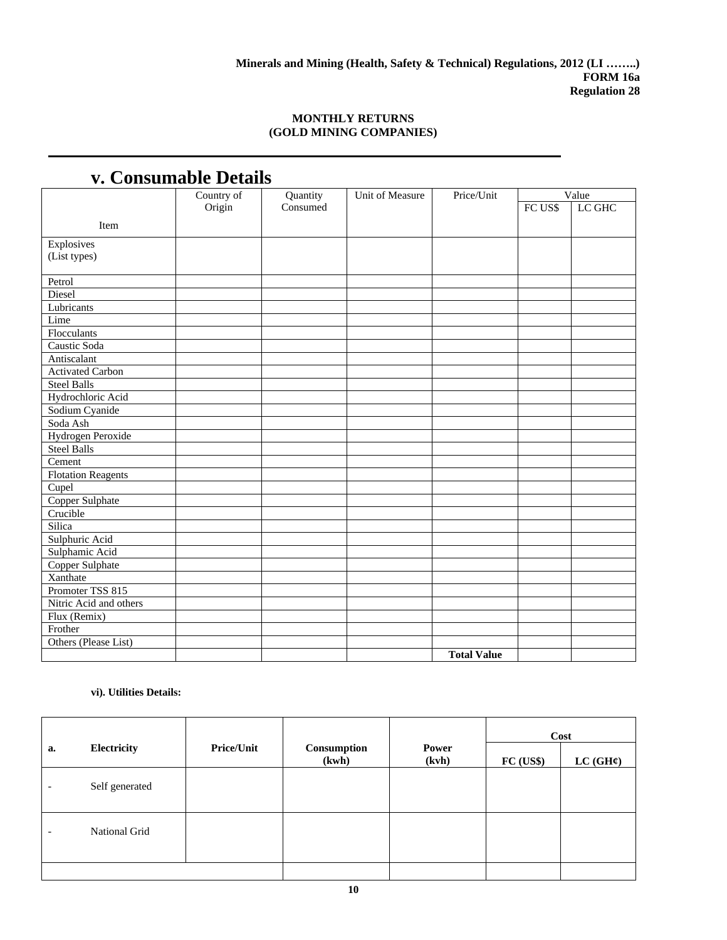| v. Consumable Detans      |            |          |                        |                    |         |        |  |  |  |
|---------------------------|------------|----------|------------------------|--------------------|---------|--------|--|--|--|
|                           | Country of | Quantity | <b>Unit of Measure</b> | Price/Unit         |         | Value  |  |  |  |
|                           | Origin     | Consumed |                        |                    | FC US\$ | LC GHC |  |  |  |
| Item                      |            |          |                        |                    |         |        |  |  |  |
| Explosives                |            |          |                        |                    |         |        |  |  |  |
| (List types)              |            |          |                        |                    |         |        |  |  |  |
|                           |            |          |                        |                    |         |        |  |  |  |
| Petrol                    |            |          |                        |                    |         |        |  |  |  |
| <b>Diesel</b>             |            |          |                        |                    |         |        |  |  |  |
| Lubricants                |            |          |                        |                    |         |        |  |  |  |
| Lime                      |            |          |                        |                    |         |        |  |  |  |
| Flocculants               |            |          |                        |                    |         |        |  |  |  |
| Caustic Soda              |            |          |                        |                    |         |        |  |  |  |
| Antiscalant               |            |          |                        |                    |         |        |  |  |  |
| <b>Activated Carbon</b>   |            |          |                        |                    |         |        |  |  |  |
| <b>Steel Balls</b>        |            |          |                        |                    |         |        |  |  |  |
| Hydrochloric Acid         |            |          |                        |                    |         |        |  |  |  |
| Sodium Cyanide            |            |          |                        |                    |         |        |  |  |  |
| Soda Ash                  |            |          |                        |                    |         |        |  |  |  |
| <b>Hydrogen Peroxide</b>  |            |          |                        |                    |         |        |  |  |  |
| <b>Steel Balls</b>        |            |          |                        |                    |         |        |  |  |  |
| Cement                    |            |          |                        |                    |         |        |  |  |  |
| <b>Flotation Reagents</b> |            |          |                        |                    |         |        |  |  |  |
| Cupel                     |            |          |                        |                    |         |        |  |  |  |
| Copper Sulphate           |            |          |                        |                    |         |        |  |  |  |
| Crucible                  |            |          |                        |                    |         |        |  |  |  |
| Silica                    |            |          |                        |                    |         |        |  |  |  |
| Sulphuric Acid            |            |          |                        |                    |         |        |  |  |  |
| Sulphamic Acid            |            |          |                        |                    |         |        |  |  |  |
| Copper Sulphate           |            |          |                        |                    |         |        |  |  |  |
| Xanthate                  |            |          |                        |                    |         |        |  |  |  |
| Promoter TSS 815          |            |          |                        |                    |         |        |  |  |  |
| Nitric Acid and others    |            |          |                        |                    |         |        |  |  |  |
| Flux (Remix)              |            |          |                        |                    |         |        |  |  |  |
| Frother                   |            |          |                        |                    |         |        |  |  |  |
| Others (Please List)      |            |          |                        |                    |         |        |  |  |  |
|                           |            |          |                        | <b>Total Value</b> |         |        |  |  |  |

# **v. Consumable Details**

## **vi). Utilities Details:**

|    |                |                   |                      |                       | Cost      |          |
|----|----------------|-------------------|----------------------|-----------------------|-----------|----------|
| a. | Electricity    | <b>Price/Unit</b> | Consumption<br>(kwh) | <b>Power</b><br>(kvh) | FC (US\$) | LC (GH¢) |
|    | Self generated |                   |                      |                       |           |          |
|    | National Grid  |                   |                      |                       |           |          |
|    |                |                   |                      |                       |           |          |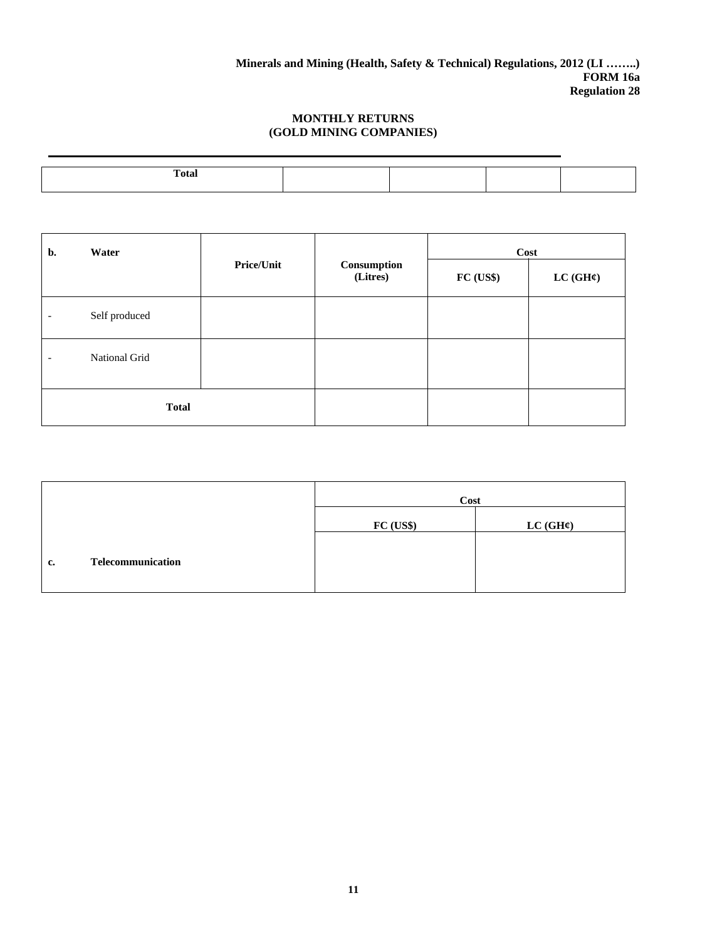| <b>Total</b> |  |  |
|--------------|--|--|
|              |  |  |

| b.           | Water         | <b>Price/Unit</b> | Consumption<br>(Litres) | Cost      |          |  |  |
|--------------|---------------|-------------------|-------------------------|-----------|----------|--|--|
|              |               |                   |                         | FC (US\$) | LC (GH¢) |  |  |
|              | Self produced |                   |                         |           |          |  |  |
| ٠            | National Grid |                   |                         |           |          |  |  |
| <b>Total</b> |               |                   |                         |           |          |  |  |

|    |                   | Cost     |          |  |  |  |
|----|-------------------|----------|----------|--|--|--|
|    |                   | FC (USS) | LC (GH¢) |  |  |  |
| c. | Telecommunication |          |          |  |  |  |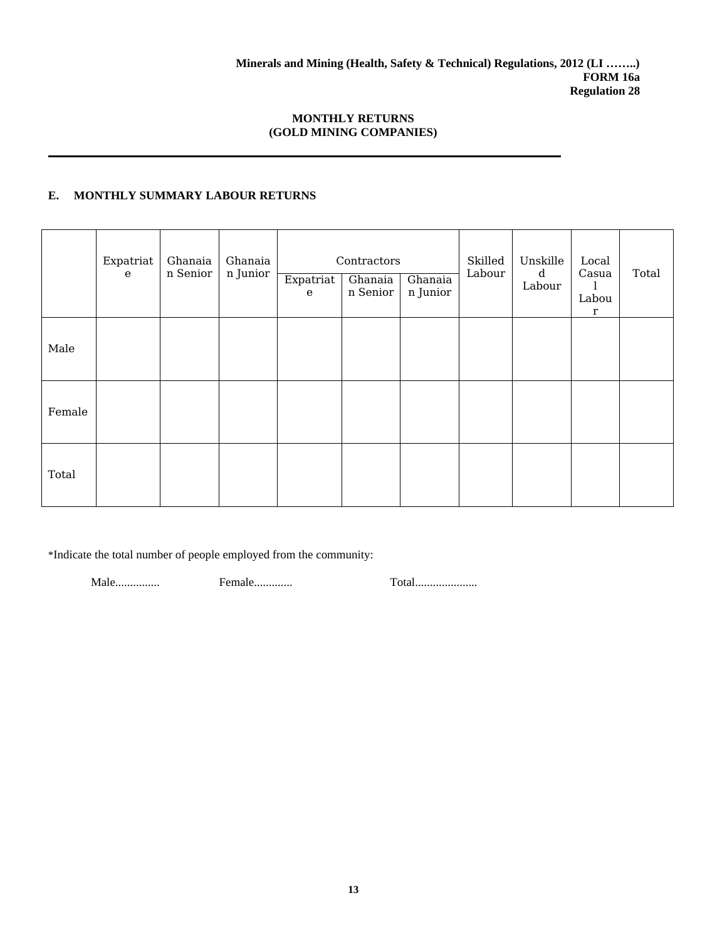# **E. MONTHLY SUMMARY LABOUR RETURNS**

|        | Expatriat<br>${\bf e}$ | Ghanaia<br>n Senior | Ghanaia<br>n Junior | Expatriat<br>e | Contractors<br>Ghanaia<br>n Senior | Ghanaia<br>n Junior | Skilled<br>Labour | Unskille<br>d<br>Labour | Local<br>Casua<br>Labou<br>r | Total |
|--------|------------------------|---------------------|---------------------|----------------|------------------------------------|---------------------|-------------------|-------------------------|------------------------------|-------|
| Male   |                        |                     |                     |                |                                    |                     |                   |                         |                              |       |
| Female |                        |                     |                     |                |                                    |                     |                   |                         |                              |       |
| Total  |                        |                     |                     |                |                                    |                     |                   |                         |                              |       |

\*Indicate the total number of people employed from the community:

Male............... Female............. Total.....................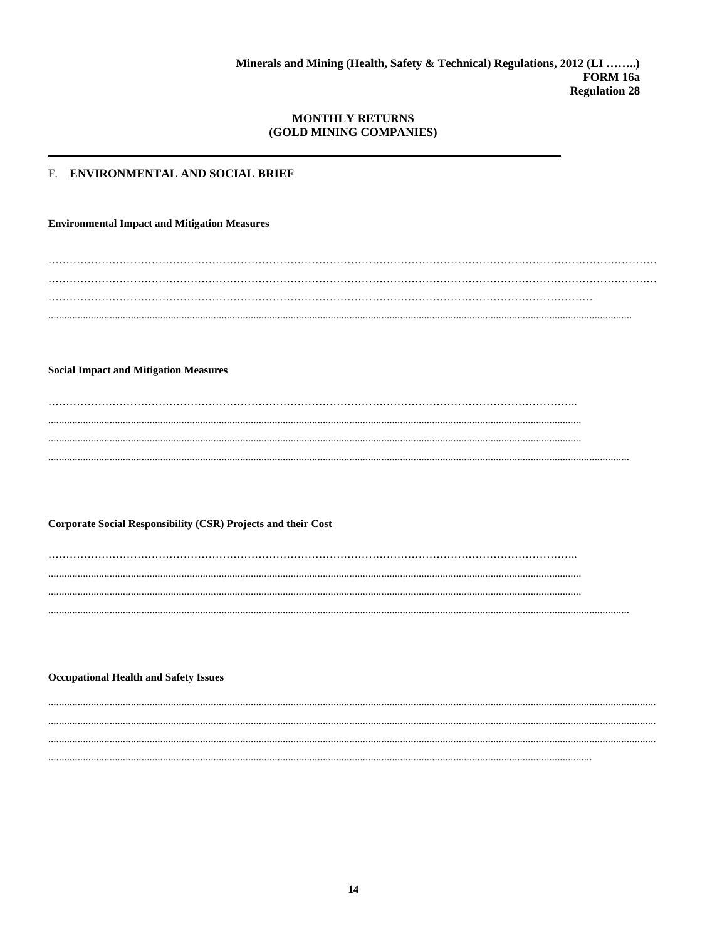# F. ENVIRONMENTAL AND SOCIAL BRIEF

**Environmental Impact and Mitigation Measures** 

 $\cdots$ 

**Social Impact and Mitigation Measures** 

 $\cdots$ 

**Corporate Social Responsibility (CSR) Projects and their Cost** 

.....  $\cdots$ . . . . .

**Occupational Health and Safety Issues**